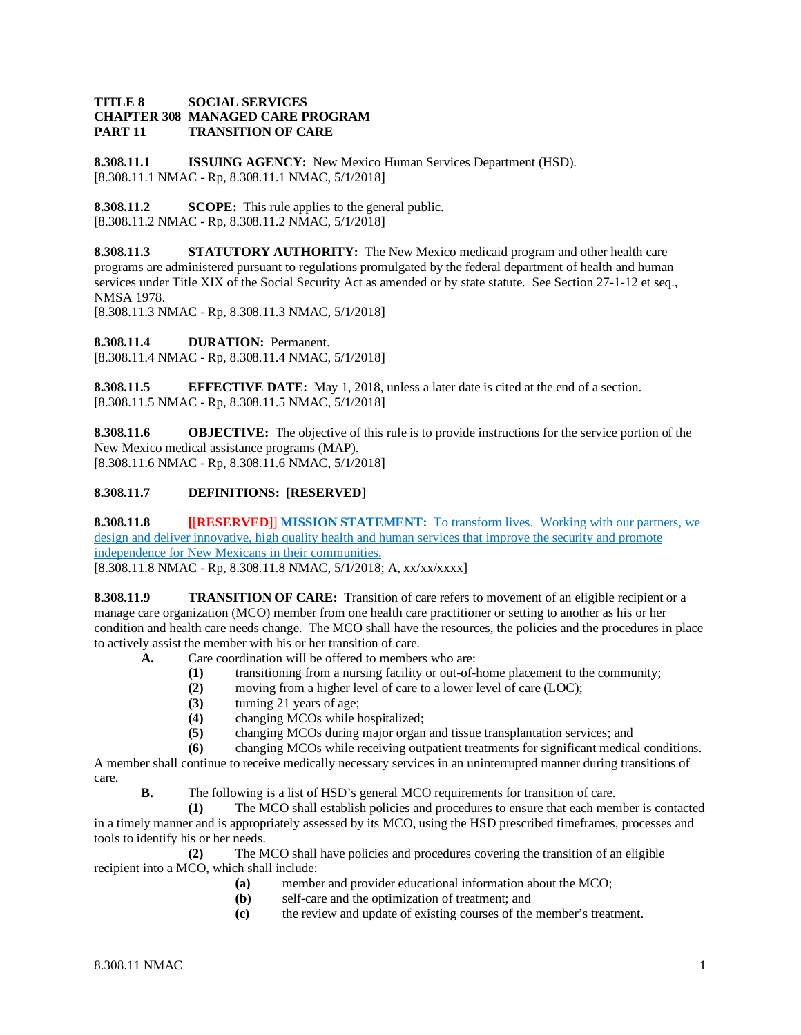#### **TITLE 8 SOCIAL SERVICES CHAPTER 308 MANAGED CARE PROGRAM TRANSITION OF CARE**

**8.308.11.1 ISSUING AGENCY:** New Mexico Human Services Department (HSD). [8.308.11.1 NMAC - Rp, 8.308.11.1 NMAC, 5/1/2018]

**8.308.11.2 SCOPE:** This rule applies to the general public. [8.308.11.2 NMAC - Rp, 8.308.11.2 NMAC, 5/1/2018]

**8.308.11.3 STATUTORY AUTHORITY:** The New Mexico medicaid program and other health care programs are administered pursuant to regulations promulgated by the federal department of health and human services under Title XIX of the Social Security Act as amended or by state statute. See Section 27-1-12 et seq., NMSA 1978.

[8.308.11.3 NMAC - Rp, 8.308.11.3 NMAC, 5/1/2018]

**8.308.11.4 DURATION:** Permanent. [8.308.11.4 NMAC - Rp, 8.308.11.4 NMAC, 5/1/2018]

**8.308.11.5 EFFECTIVE DATE:** May 1, 2018, unless a later date is cited at the end of a section. [8.308.11.5 NMAC - Rp, 8.308.11.5 NMAC, 5/1/2018]

**8.308.11.6 OBJECTIVE:** The objective of this rule is to provide instructions for the service portion of the New Mexico medical assistance programs (MAP). [8.308.11.6 NMAC - Rp, 8.308.11.6 NMAC, 5/1/2018]

## **8.308.11.7 DEFINITIONS:** [**RESERVED**]

**8.308.11.8 [**[**RESERVED**]] **MISSION STATEMENT:** To transform lives. Working with our partners, we design and deliver innovative, high quality health and human services that improve the security and promote independence for New Mexicans in their communities.

[8.308.11.8 NMAC - Rp, 8.308.11.8 NMAC, 5/1/2018; A, xx/xx/xxxx]

**8.308.11.9 TRANSITION OF CARE:** Transition of care refers to movement of an eligible recipient or a manage care organization (MCO) member from one health care practitioner or setting to another as his or her condition and health care needs change. The MCO shall have the resources, the policies and the procedures in place to actively assist the member with his or her transition of care.

- **A.** Care coordination will be offered to members who are:
	- **(1)** transitioning from a nursing facility or out-of-home placement to the community;
	- **(2)** moving from a higher level of care to a lower level of care (LOC);
	- **(3)** turning 21 years of age;
	- **(4)** changing MCOs while hospitalized;
		- **(5)** changing MCOs during major organ and tissue transplantation services; and
	- **(6)** changing MCOs while receiving outpatient treatments for significant medical conditions.

A member shall continue to receive medically necessary services in an uninterrupted manner during transitions of care.

**B.** The following is a list of HSD's general MCO requirements for transition of care.

**(1)** The MCO shall establish policies and procedures to ensure that each member is contacted in a timely manner and is appropriately assessed by its MCO, using the HSD prescribed timeframes, processes and tools to identify his or her needs.

**(2)** The MCO shall have policies and procedures covering the transition of an eligible recipient into a MCO, which shall include:

- **(a)** member and provider educational information about the MCO;
- **(b)** self-care and the optimization of treatment; and
- **(c)** the review and update of existing courses of the member's treatment.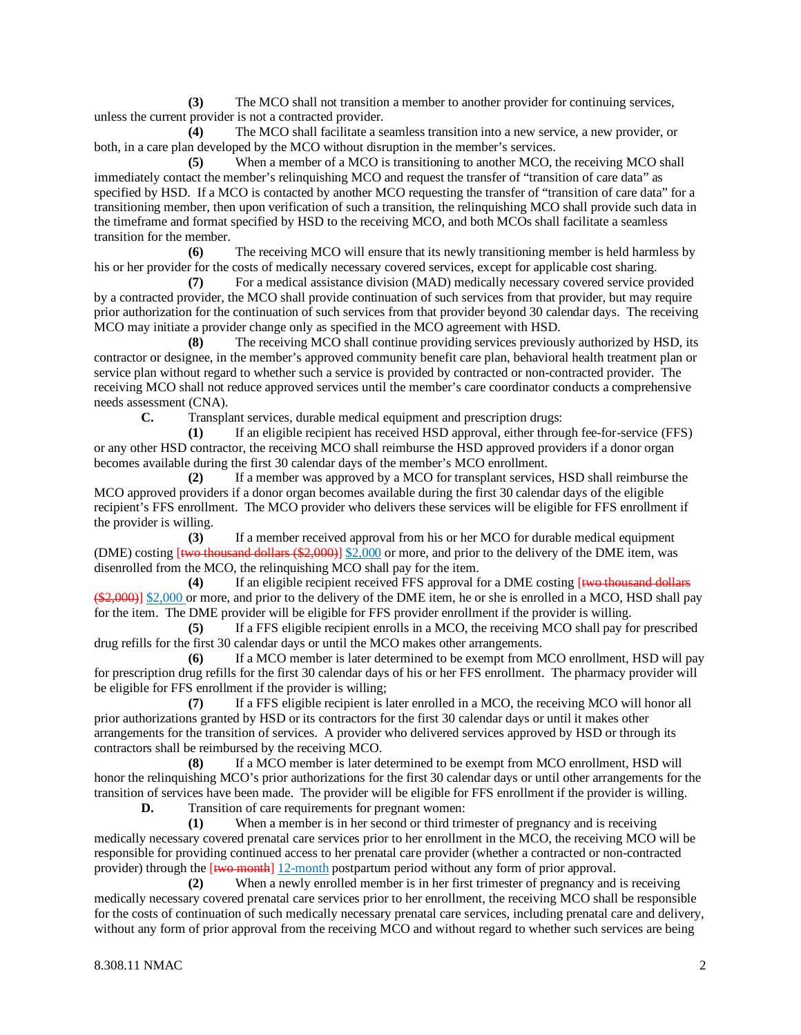**(3)** The MCO shall not transition a member to another provider for continuing services, unless the current provider is not a contracted provider.

**(4)** The MCO shall facilitate a seamless transition into a new service, a new provider, or both, in a care plan developed by the MCO without disruption in the member's services.

**(5)** When a member of a MCO is transitioning to another MCO, the receiving MCO shall immediately contact the member's relinquishing MCO and request the transfer of "transition of care data" as specified by HSD. If a MCO is contacted by another MCO requesting the transfer of "transition of care data" for a transitioning member, then upon verification of such a transition, the relinquishing MCO shall provide such data in the timeframe and format specified by HSD to the receiving MCO, and both MCOs shall facilitate a seamless transition for the member.

**(6)** The receiving MCO will ensure that its newly transitioning member is held harmless by his or her provider for the costs of medically necessary covered services, except for applicable cost sharing.

**(7)** For a medical assistance division (MAD) medically necessary covered service provided by a contracted provider, the MCO shall provide continuation of such services from that provider, but may require prior authorization for the continuation of such services from that provider beyond 30 calendar days. The receiving MCO may initiate a provider change only as specified in the MCO agreement with HSD.

**(8)** The receiving MCO shall continue providing services previously authorized by HSD, its contractor or designee, in the member's approved community benefit care plan, behavioral health treatment plan or service plan without regard to whether such a service is provided by contracted or non-contracted provider. The receiving MCO shall not reduce approved services until the member's care coordinator conducts a comprehensive needs assessment (CNA).

**C.** Transplant services, durable medical equipment and prescription drugs:

**(1)** If an eligible recipient has received HSD approval, either through fee-for-service (FFS) or any other HSD contractor, the receiving MCO shall reimburse the HSD approved providers if a donor organ becomes available during the first 30 calendar days of the member's MCO enrollment.

**(2)** If a member was approved by a MCO for transplant services, HSD shall reimburse the MCO approved providers if a donor organ becomes available during the first 30 calendar days of the eligible recipient's FFS enrollment. The MCO provider who delivers these services will be eligible for FFS enrollment if the provider is willing.

**(3)** If a member received approval from his or her MCO for durable medical equipment (DME) costing [two thousand dollars (\$2,000)] \$2,000 or more, and prior to the delivery of the DME item, was disenrolled from the MCO, the relinquishing MCO shall pay for the item.

**(4)** If an eligible recipient received FFS approval for a DME costing [two thousand dollars (\$2,000)] \$2,000 or more, and prior to the delivery of the DME item, he or she is enrolled in a MCO, HSD shall pay for the item. The DME provider will be eligible for FFS provider enrollment if the provider is willing.

**(5)** If a FFS eligible recipient enrolls in a MCO, the receiving MCO shall pay for prescribed drug refills for the first 30 calendar days or until the MCO makes other arrangements.

**(6)** If a MCO member is later determined to be exempt from MCO enrollment, HSD will pay for prescription drug refills for the first 30 calendar days of his or her FFS enrollment. The pharmacy provider will be eligible for FFS enrollment if the provider is willing;

**(7)** If a FFS eligible recipient is later enrolled in a MCO, the receiving MCO will honor all prior authorizations granted by HSD or its contractors for the first 30 calendar days or until it makes other arrangements for the transition of services. A provider who delivered services approved by HSD or through its contractors shall be reimbursed by the receiving MCO.

**(8)** If a MCO member is later determined to be exempt from MCO enrollment, HSD will honor the relinquishing MCO's prior authorizations for the first 30 calendar days or until other arrangements for the transition of services have been made. The provider will be eligible for FFS enrollment if the provider is willing.

**D.** Transition of care requirements for pregnant women:

**(1)** When a member is in her second or third trimester of pregnancy and is receiving medically necessary covered prenatal care services prior to her enrollment in the MCO, the receiving MCO will be responsible for providing continued access to her prenatal care provider (whether a contracted or non-contracted provider) through the [two month] 12-month postpartum period without any form of prior approval.

**(2)** When a newly enrolled member is in her first trimester of pregnancy and is receiving medically necessary covered prenatal care services prior to her enrollment, the receiving MCO shall be responsible for the costs of continuation of such medically necessary prenatal care services, including prenatal care and delivery, without any form of prior approval from the receiving MCO and without regard to whether such services are being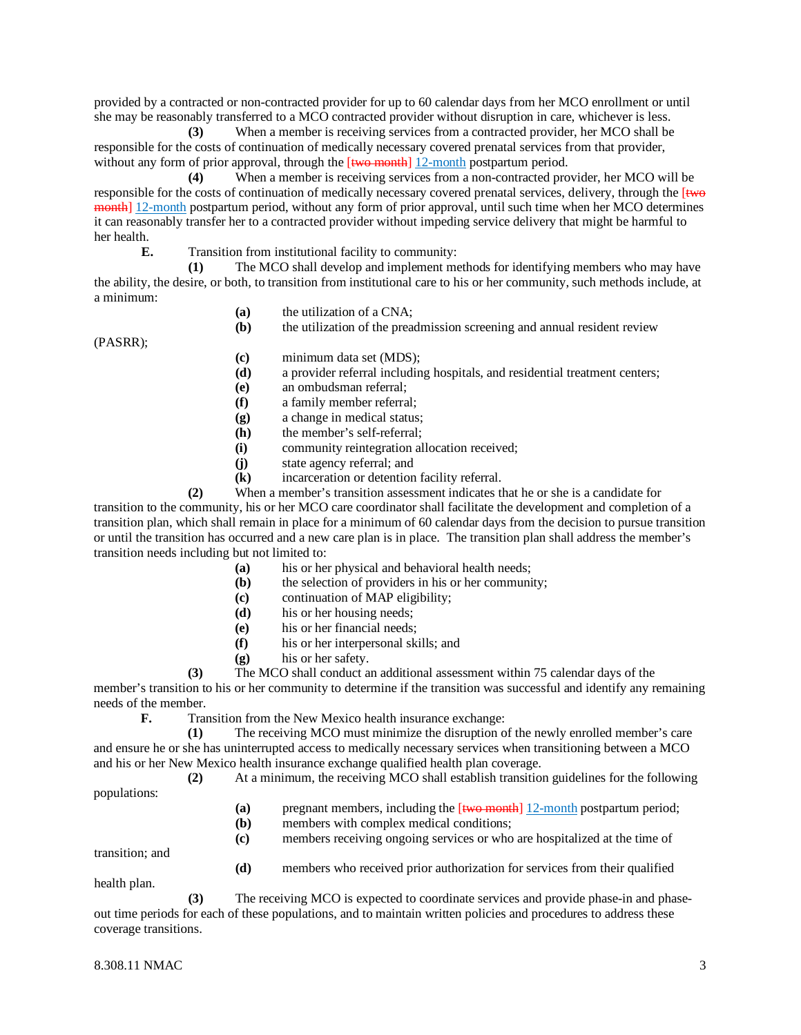provided by a contracted or non-contracted provider for up to 60 calendar days from her MCO enrollment or until she may be reasonably transferred to a MCO contracted provider without disruption in care, whichever is less.

**(3)** When a member is receiving services from a contracted provider, her MCO shall be responsible for the costs of continuation of medically necessary covered prenatal services from that provider, without any form of prior approval, through the  $[$ two month $]$  12-month postpartum period.

**(4)** When a member is receiving services from a non-contracted provider, her MCO will be responsible for the costs of continuation of medically necessary covered prenatal services, delivery, through the [two month] 12-month postpartum period, without any form of prior approval, until such time when her MCO determines it can reasonably transfer her to a contracted provider without impeding service delivery that might be harmful to her health.

**E.** Transition from institutional facility to community:

**(1)** The MCO shall develop and implement methods for identifying members who may have the ability, the desire, or both, to transition from institutional care to his or her community, such methods include, at a minimum:

**(a)** the utilization of a CNA;

**(b)** the utilization of the preadmission screening and annual resident review

(PASRR);

- **(c)** minimum data set (MDS);
- **(d)** a provider referral including hospitals, and residential treatment centers;
- **(e)** an ombudsman referral;
- **(f)** a family member referral;
- **(g)** a change in medical status;
- **(h)** the member's self-referral;
- **(i)** community reintegration allocation received;
- **(j)** state agency referral; and
- **(k)** incarceration or detention facility referral.

**(2)** When a member's transition assessment indicates that he or she is a candidate for transition to the community, his or her MCO care coordinator shall facilitate the development and completion of a transition plan, which shall remain in place for a minimum of 60 calendar days from the decision to pursue transition or until the transition has occurred and a new care plan is in place. The transition plan shall address the member's transition needs including but not limited to:

- **(a)** his or her physical and behavioral health needs;
- **(b)** the selection of providers in his or her community;
- **(c)** continuation of MAP eligibility;
- **(d)** his or her housing needs;
- **(e)** his or her financial needs;
- **(f)** his or her interpersonal skills; and
- **(g)** his or her safety.
- **(3)** The MCO shall conduct an additional assessment within 75 calendar days of the

member's transition to his or her community to determine if the transition was successful and identify any remaining needs of the member.<br> **F.** Trai

Transition from the New Mexico health insurance exchange:

**(1)** The receiving MCO must minimize the disruption of the newly enrolled member's care and ensure he or she has uninterrupted access to medically necessary services when transitioning between a MCO and his or her New Mexico health insurance exchange qualified health plan coverage.

**(2)** At a minimum, the receiving MCO shall establish transition guidelines for the following

- populations:
- **(a)** pregnant members, including the [two month] 12-month postpartum period;
- **(b)** members with complex medical conditions;
- **(c)** members receiving ongoing services or who are hospitalized at the time of

transition; and

**(d)** members who received prior authorization for services from their qualified

health plan.

**(3)** The receiving MCO is expected to coordinate services and provide phase-in and phaseout time periods for each of these populations, and to maintain written policies and procedures to address these coverage transitions.